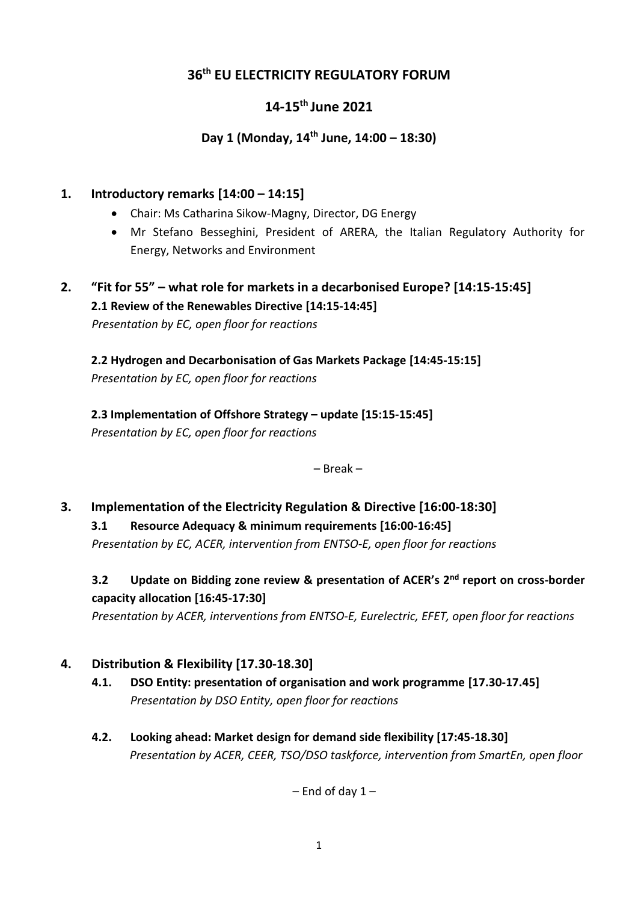# **36 th EU ELECTRICITY REGULATORY FORUM**

# **14-15th June 2021**

# **Day 1 (Monday, 14th June, 14:00 – 18:30)**

#### **1. Introductory remarks [14:00 – 14:15]**

- Chair: Ms Catharina Sikow-Magny, Director, DG Energy
- Mr Stefano Besseghini, President of ARERA, the Italian Regulatory Authority for Energy, Networks and Environment

### **2. "Fit for 55" – what role for markets in a decarbonised Europe? [14:15-15:45] 2.1 Review of the Renewables Directive [14:15-14:45]** *Presentation by EC, open floor for reactions*

**2.2 Hydrogen and Decarbonisation of Gas Markets Package [14:45-15:15]**  *Presentation by EC, open floor for reactions*

# **2.3 Implementation of Offshore Strategy – update [15:15-15:45]**

*Presentation by EC, open floor for reactions*

– Break –

#### **3. Implementation of the Electricity Regulation & Directive [16:00-18:30]**

**3.1 Resource Adequacy & minimum requirements [16:00-16:45]** *Presentation by EC, ACER, intervention from ENTSO-E, open floor for reactions*

# **3.2 Update on Bidding zone review & presentation of ACER's 2nd report on cross-border capacity allocation [16:45-17:30]**

*Presentation by ACER, interventions from ENTSO-E, Eurelectric, EFET, open floor for reactions*

## **4. Distribution & Flexibility [17.30-18.30]**

- **4.1. DSO Entity: presentation of organisation and work programme [17.30-17.45]** *Presentation by DSO Entity, open floor for reactions*
- **4.2. Looking ahead: Market design for demand side flexibility [17:45-18.30]** *Presentation by ACER, CEER, TSO/DSO taskforce, intervention from SmartEn, open floor*

 $-$  End of day 1  $-$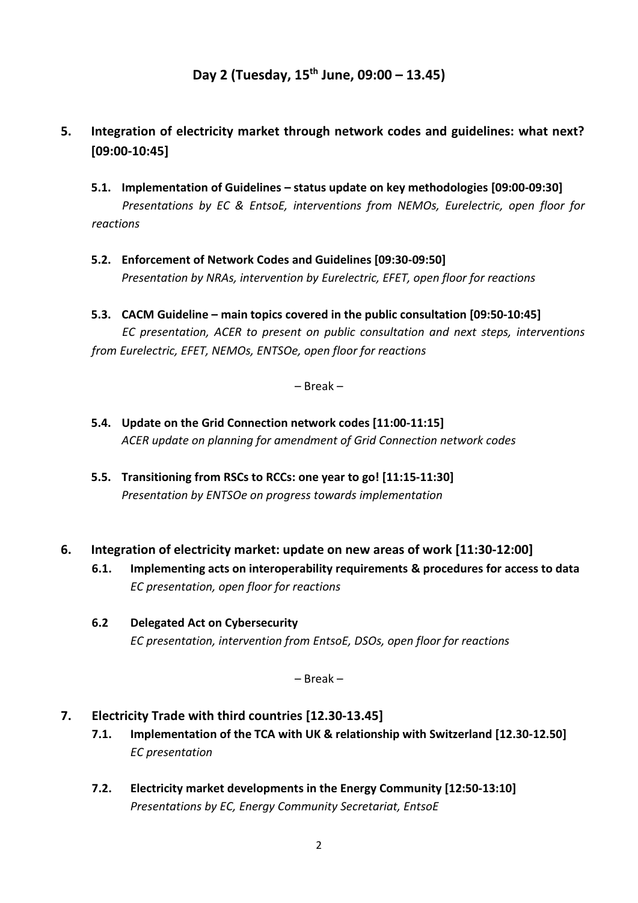## **Day 2 (Tuesday, 15th June, 09:00 – 13.45)**

# **5. Integration of electricity market through network codes and guidelines: what next? [09:00-10:45]**

- **5.1. Implementation of Guidelines – status update on key methodologies [09:00-09:30]** *Presentations by EC & EntsoE, interventions from NEMOs, Eurelectric, open floor for reactions*
- **5.2. Enforcement of Network Codes and Guidelines [09:30-09:50]** *Presentation by NRAs, intervention by Eurelectric, EFET, open floor for reactions*
- **5.3. CACM Guideline – main topics covered in the public consultation [09:50-10:45]** *EC presentation, ACER to present on public consultation and next steps, interventions from Eurelectric, EFET, NEMOs, ENTSOe, open floor for reactions*

– Break –

- **5.4. Update on the Grid Connection network codes [11:00-11:15]** *ACER update on planning for amendment of Grid Connection network codes*
- **5.5. Transitioning from RSCs to RCCs: one year to go! [11:15-11:30]** *Presentation by ENTSOe on progress towards implementation*
- **6. Integration of electricity market: update on new areas of work [11:30-12:00]**
	- **6.1. Implementing acts on interoperability requirements & procedures for access to data** *EC presentation, open floor for reactions*
	- **6.2 Delegated Act on Cybersecurity**  *EC presentation, intervention from EntsoE, DSOs, open floor for reactions*

– Break –

- **7. Electricity Trade with third countries [12.30-13.45]**
	- **7.1. Implementation of the TCA with UK & relationship with Switzerland [12.30-12.50]** *EC presentation*
	- **7.2. Electricity market developments in the Energy Community [12:50-13:10]** *Presentations by EC, Energy Community Secretariat, EntsoE*